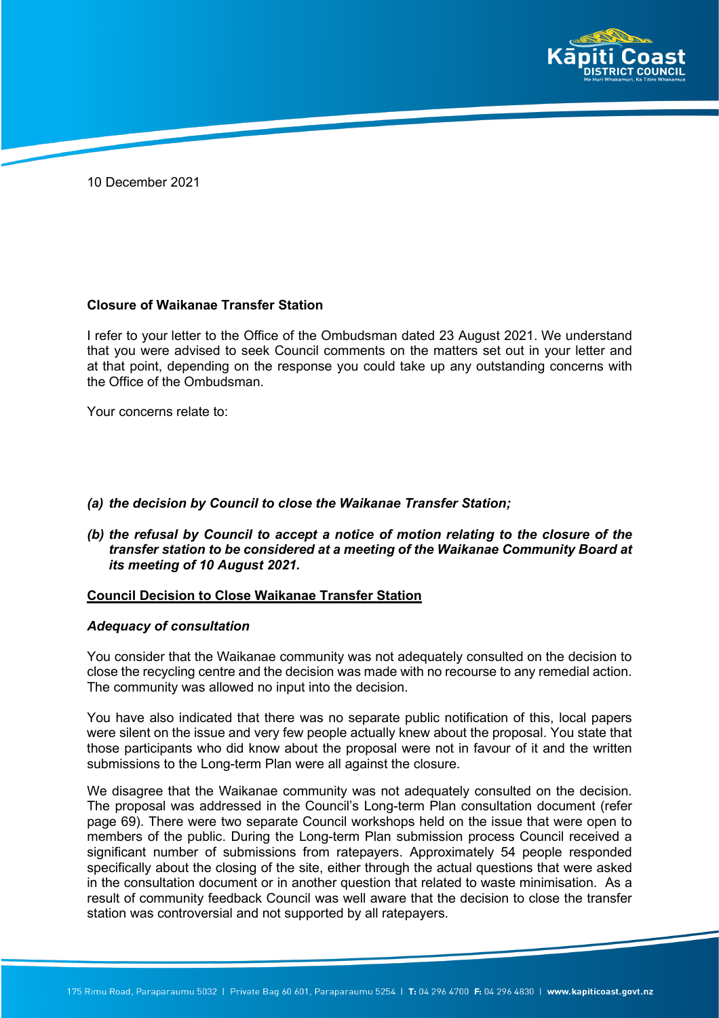

10 December 2021

## **Closure of Waikanae Transfer Station**

I refer to your letter to the Office of the Ombudsman dated 23 August 2021. We understand that you were advised to seek Council comments on the matters set out in your letter and at that point, depending on the response you could take up any outstanding concerns with the Office of the Ombudsman.

Your concerns relate to:

## *(a) the decision by Council to close the Waikanae Transfer Station;*

*(b) the refusal by Council to accept a notice of motion relating to the closure of the transfer station to be considered at a meeting of the Waikanae Community Board at its meeting of 10 August 2021.*

#### **Council Decision to Close Waikanae Transfer Station**

#### *Adequacy of consultation*

You consider that the Waikanae community was not adequately consulted on the decision to close the recycling centre and the decision was made with no recourse to any remedial action. The community was allowed no input into the decision.

You have also indicated that there was no separate public notification of this, local papers were silent on the issue and very few people actually knew about the proposal. You state that those participants who did know about the proposal were not in favour of it and the written submissions to the Long-term Plan were all against the closure.

We disagree that the Waikanae community was not adequately consulted on the decision. The proposal was addressed in the Council's Long-term Plan consultation document (refer page 69). There were two separate Council workshops held on the issue that were open to members of the public. During the Long-term Plan submission process Council received a significant number of submissions from ratepayers. Approximately 54 people responded specifically about the closing of the site, either through the actual questions that were asked in the consultation document or in another question that related to waste minimisation. As a result of community feedback Council was well aware that the decision to close the transfer station was controversial and not supported by all ratepayers.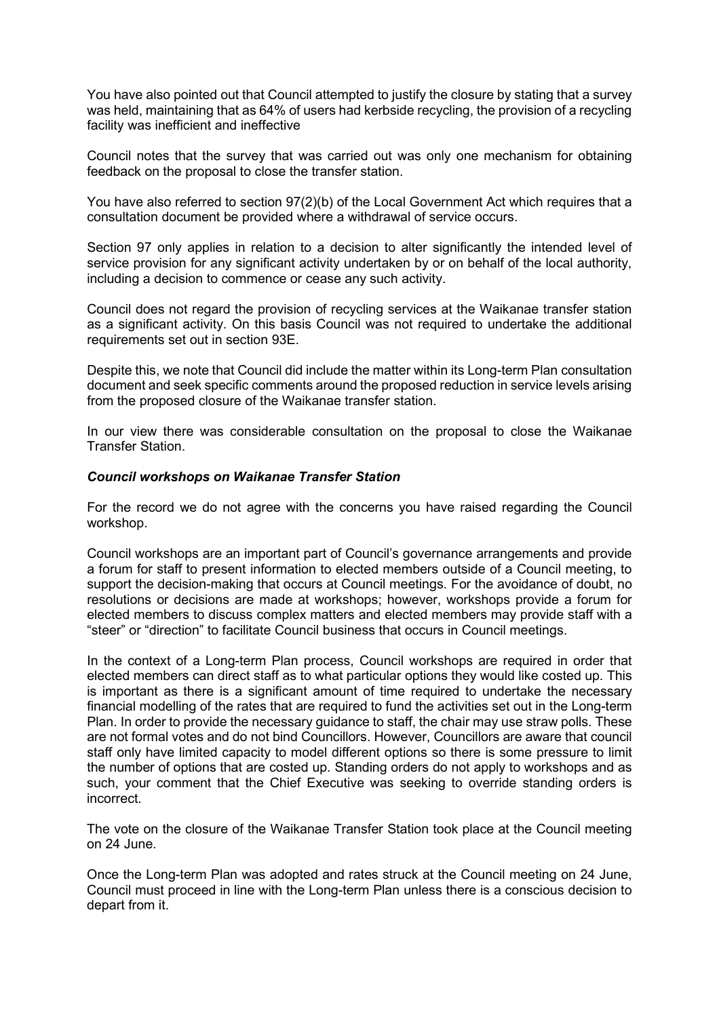You have also pointed out that Council attempted to justify the closure by stating that a survey was held, maintaining that as 64% of users had kerbside recycling, the provision of a recycling facility was inefficient and ineffective

Council notes that the survey that was carried out was only one mechanism for obtaining feedback on the proposal to close the transfer station.

You have also referred to section 97(2)(b) of the Local Government Act which requires that a consultation document be provided where a withdrawal of service occurs.

Section 97 only applies in relation to a decision to alter significantly the intended level of service provision for any significant activity undertaken by or on behalf of the local authority, including a decision to commence or cease any such activity.

Council does not regard the provision of recycling services at the Waikanae transfer station as a significant activity. On this basis Council was not required to undertake the additional requirements set out in section 93E.

Despite this, we note that Council did include the matter within its Long-term Plan consultation document and seek specific comments around the proposed reduction in service levels arising from the proposed closure of the Waikanae transfer station.

In our view there was considerable consultation on the proposal to close the Waikanae Transfer Station.

## *Council workshops on Waikanae Transfer Station*

For the record we do not agree with the concerns you have raised regarding the Council workshop.

Council workshops are an important part of Council's governance arrangements and provide a forum for staff to present information to elected members outside of a Council meeting, to support the decision-making that occurs at Council meetings. For the avoidance of doubt, no resolutions or decisions are made at workshops; however, workshops provide a forum for elected members to discuss complex matters and elected members may provide staff with a "steer" or "direction" to facilitate Council business that occurs in Council meetings.

In the context of a Long-term Plan process, Council workshops are required in order that elected members can direct staff as to what particular options they would like costed up. This is important as there is a significant amount of time required to undertake the necessary financial modelling of the rates that are required to fund the activities set out in the Long-term Plan. In order to provide the necessary guidance to staff, the chair may use straw polls. These are not formal votes and do not bind Councillors. However, Councillors are aware that council staff only have limited capacity to model different options so there is some pressure to limit the number of options that are costed up. Standing orders do not apply to workshops and as such, your comment that the Chief Executive was seeking to override standing orders is incorrect.

The vote on the closure of the Waikanae Transfer Station took place at the Council meeting on 24 June.

Once the Long-term Plan was adopted and rates struck at the Council meeting on 24 June, Council must proceed in line with the Long-term Plan unless there is a conscious decision to depart from it.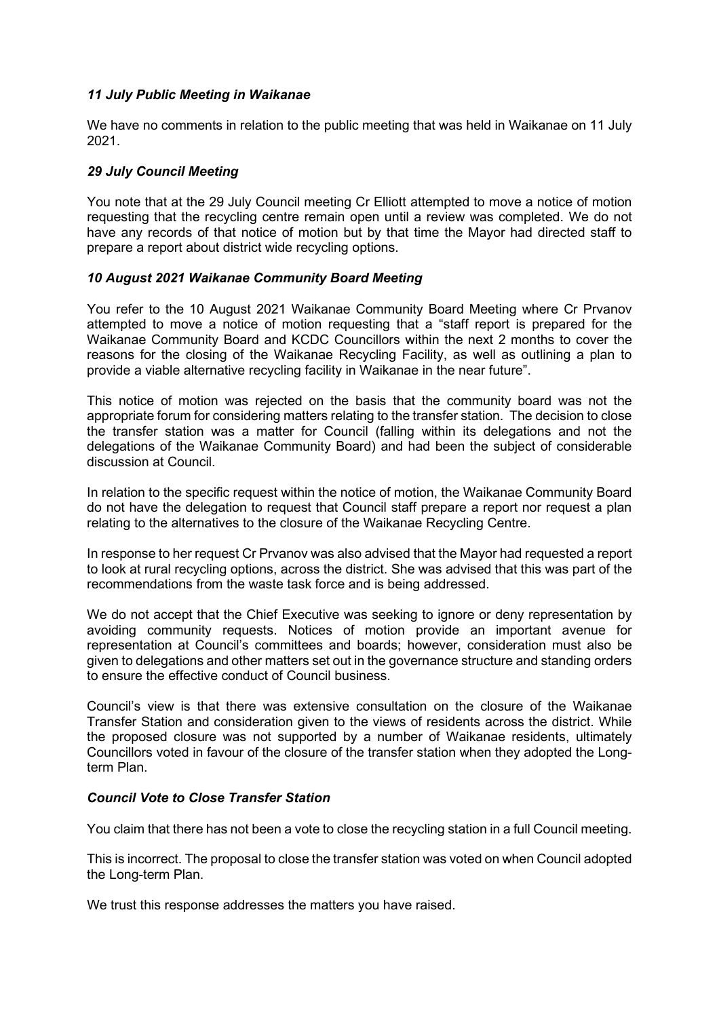## *11 July Public Meeting in Waikanae*

We have no comments in relation to the public meeting that was held in Waikanae on 11 July 2021.

# *29 July Council Meeting*

You note that at the 29 July Council meeting Cr Elliott attempted to move a notice of motion requesting that the recycling centre remain open until a review was completed. We do not have any records of that notice of motion but by that time the Mayor had directed staff to prepare a report about district wide recycling options.

## *10 August 2021 Waikanae Community Board Meeting*

You refer to the 10 August 2021 Waikanae Community Board Meeting where Cr Prvanov attempted to move a notice of motion requesting that a "staff report is prepared for the Waikanae Community Board and KCDC Councillors within the next 2 months to cover the reasons for the closing of the Waikanae Recycling Facility, as well as outlining a plan to provide a viable alternative recycling facility in Waikanae in the near future".

This notice of motion was rejected on the basis that the community board was not the appropriate forum for considering matters relating to the transfer station. The decision to close the transfer station was a matter for Council (falling within its delegations and not the delegations of the Waikanae Community Board) and had been the subject of considerable discussion at Council.

In relation to the specific request within the notice of motion, the Waikanae Community Board do not have the delegation to request that Council staff prepare a report nor request a plan relating to the alternatives to the closure of the Waikanae Recycling Centre.

In response to her request Cr Prvanov was also advised that the Mayor had requested a report to look at rural recycling options, across the district. She was advised that this was part of the recommendations from the waste task force and is being addressed.

We do not accept that the Chief Executive was seeking to ignore or deny representation by avoiding community requests. Notices of motion provide an important avenue for representation at Council's committees and boards; however, consideration must also be given to delegations and other matters set out in the governance structure and standing orders to ensure the effective conduct of Council business.

Council's view is that there was extensive consultation on the closure of the Waikanae Transfer Station and consideration given to the views of residents across the district. While the proposed closure was not supported by a number of Waikanae residents, ultimately Councillors voted in favour of the closure of the transfer station when they adopted the Longterm Plan.

#### *Council Vote to Close Transfer Station*

You claim that there has not been a vote to close the recycling station in a full Council meeting.

This is incorrect. The proposal to close the transfer station was voted on when Council adopted the Long-term Plan.

We trust this response addresses the matters you have raised.